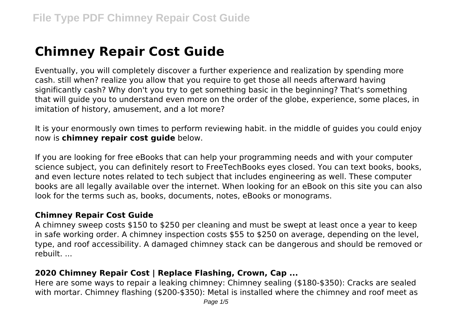# **Chimney Repair Cost Guide**

Eventually, you will completely discover a further experience and realization by spending more cash. still when? realize you allow that you require to get those all needs afterward having significantly cash? Why don't you try to get something basic in the beginning? That's something that will guide you to understand even more on the order of the globe, experience, some places, in imitation of history, amusement, and a lot more?

It is your enormously own times to perform reviewing habit. in the middle of guides you could enjoy now is **chimney repair cost guide** below.

If you are looking for free eBooks that can help your programming needs and with your computer science subject, you can definitely resort to FreeTechBooks eyes closed. You can text books, books, and even lecture notes related to tech subject that includes engineering as well. These computer books are all legally available over the internet. When looking for an eBook on this site you can also look for the terms such as, books, documents, notes, eBooks or monograms.

#### **Chimney Repair Cost Guide**

A chimney sweep costs \$150 to \$250 per cleaning and must be swept at least once a year to keep in safe working order. A chimney inspection costs \$55 to \$250 on average, depending on the level, type, and roof accessibility. A damaged chimney stack can be dangerous and should be removed or rebuilt. ...

## **2020 Chimney Repair Cost | Replace Flashing, Crown, Cap ...**

Here are some ways to repair a leaking chimney: Chimney sealing (\$180-\$350): Cracks are sealed with mortar. Chimney flashing (\$200-\$350): Metal is installed where the chimney and roof meet as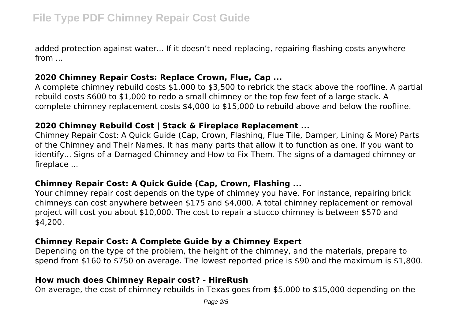added protection against water... If it doesn't need replacing, repairing flashing costs anywhere from ...

## **2020 Chimney Repair Costs: Replace Crown, Flue, Cap ...**

A complete chimney rebuild costs \$1,000 to \$3,500 to rebrick the stack above the roofline. A partial rebuild costs \$600 to \$1,000 to redo a small chimney or the top few feet of a large stack. A complete chimney replacement costs \$4,000 to \$15,000 to rebuild above and below the roofline.

## **2020 Chimney Rebuild Cost | Stack & Fireplace Replacement ...**

Chimney Repair Cost: A Quick Guide (Cap, Crown, Flashing, Flue Tile, Damper, Lining & More) Parts of the Chimney and Their Names. It has many parts that allow it to function as one. If you want to identify... Signs of a Damaged Chimney and How to Fix Them. The signs of a damaged chimney or fireplace ...

## **Chimney Repair Cost: A Quick Guide (Cap, Crown, Flashing ...**

Your chimney repair cost depends on the type of chimney you have. For instance, repairing brick chimneys can cost anywhere between \$175 and \$4,000. A total chimney replacement or removal project will cost you about \$10,000. The cost to repair a stucco chimney is between \$570 and \$4,200.

## **Chimney Repair Cost: A Complete Guide by a Chimney Expert**

Depending on the type of the problem, the height of the chimney, and the materials, prepare to spend from \$160 to \$750 on average. The lowest reported price is \$90 and the maximum is \$1,800.

## **How much does Chimney Repair cost? - HireRush**

On average, the cost of chimney rebuilds in Texas goes from \$5,000 to \$15,000 depending on the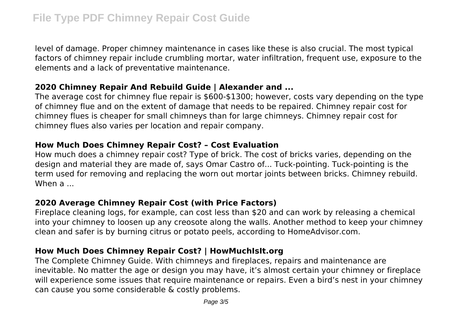level of damage. Proper chimney maintenance in cases like these is also crucial. The most typical factors of chimney repair include crumbling mortar, water infiltration, frequent use, exposure to the elements and a lack of preventative maintenance.

## **2020 Chimney Repair And Rebuild Guide | Alexander and ...**

The average cost for chimney flue repair is \$600-\$1300; however, costs vary depending on the type of chimney flue and on the extent of damage that needs to be repaired. Chimney repair cost for chimney flues is cheaper for small chimneys than for large chimneys. Chimney repair cost for chimney flues also varies per location and repair company.

## **How Much Does Chimney Repair Cost? – Cost Evaluation**

How much does a chimney repair cost? Type of brick. The cost of bricks varies, depending on the design and material they are made of, says Omar Castro of... Tuck-pointing. Tuck-pointing is the term used for removing and replacing the worn out mortar joints between bricks. Chimney rebuild. When a ...

## **2020 Average Chimney Repair Cost (with Price Factors)**

Fireplace cleaning logs, for example, can cost less than \$20 and can work by releasing a chemical into your chimney to loosen up any creosote along the walls. Another method to keep your chimney clean and safer is by burning citrus or potato peels, according to HomeAdvisor.com.

## **How Much Does Chimney Repair Cost? | HowMuchIsIt.org**

The Complete Chimney Guide. With chimneys and fireplaces, repairs and maintenance are inevitable. No matter the age or design you may have, it's almost certain your chimney or fireplace will experience some issues that require maintenance or repairs. Even a bird's nest in your chimney can cause you some considerable & costly problems.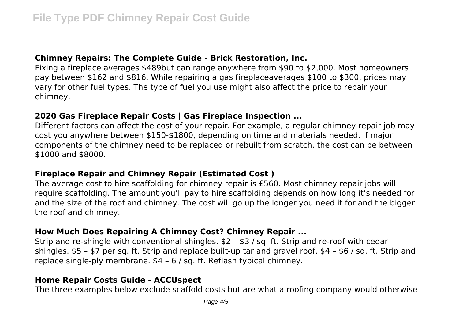## **Chimney Repairs: The Complete Guide - Brick Restoration, Inc.**

Fixing a fireplace averages \$489but can range anywhere from \$90 to \$2,000. Most homeowners pay between \$162 and \$816. While repairing a gas fireplaceaverages \$100 to \$300, prices may vary for other fuel types. The type of fuel you use might also affect the price to repair your chimney.

## **2020 Gas Fireplace Repair Costs | Gas Fireplace Inspection ...**

Different factors can affect the cost of your repair. For example, a regular chimney repair job may cost you anywhere between \$150-\$1800, depending on time and materials needed. If major components of the chimney need to be replaced or rebuilt from scratch, the cost can be between \$1000 and \$8000.

## **Fireplace Repair and Chimney Repair (Estimated Cost )**

The average cost to hire scaffolding for chimney repair is £560. Most chimney repair jobs will require scaffolding. The amount you'll pay to hire scaffolding depends on how long it's needed for and the size of the roof and chimney. The cost will go up the longer you need it for and the bigger the roof and chimney.

## **How Much Does Repairing A Chimney Cost? Chimney Repair ...**

Strip and re-shingle with conventional shingles. \$2 – \$3 / sq. ft. Strip and re-roof with cedar shingles. \$5 – \$7 per sq. ft. Strip and replace built-up tar and gravel roof. \$4 – \$6 / sq. ft. Strip and replace single-ply membrane. \$4 – 6 / sq. ft. Reflash typical chimney.

## **Home Repair Costs Guide - ACCUspect**

The three examples below exclude scaffold costs but are what a roofing company would otherwise